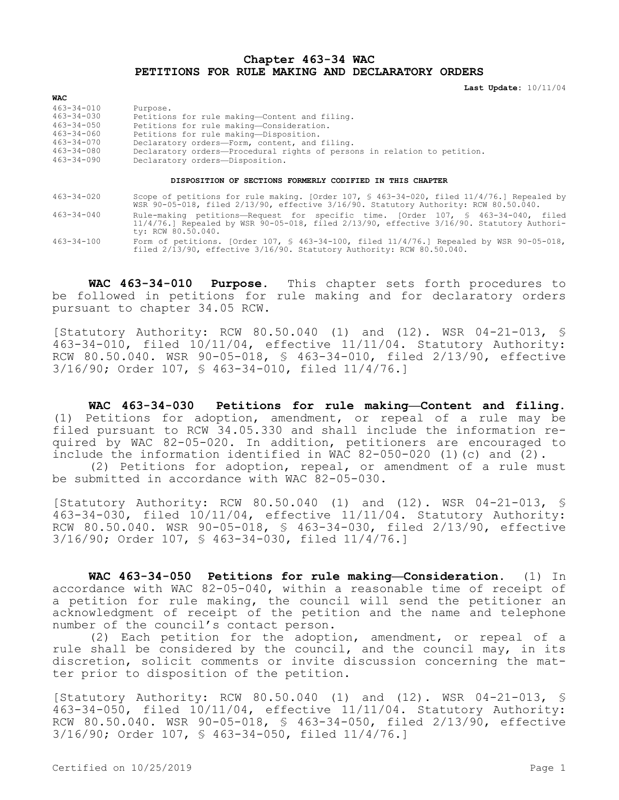## **Chapter 463-34 WAC PETITIONS FOR RULE MAKING AND DECLARATORY ORDERS**

**Last Update:** 10/11/04

| 463-34-010 | Purpose.                                                                 |
|------------|--------------------------------------------------------------------------|
| 463-34-030 | Petitions for rule making-Content and filing.                            |
| 463-34-050 | Petitions for rule making-Consideration.                                 |
| 463-34-060 | Petitions for rule making-Disposition.                                   |
| 463-34-070 | Declaratory orders-Form, content, and filing.                            |
| 463-34-080 | Declaratory orders-Procedural rights of persons in relation to petition. |
| 463-34-090 | Declaratory orders-Disposition.                                          |

## **DISPOSITION OF SECTIONS FORMERLY CODIFIED IN THIS CHAPTER**

463-34-020 Scope of petitions for rule making. [Order 107, § 463-34-020, filed 11/4/76.] Repealed by WSR 90-05-018, filed 2/13/90, effective 3/16/90. Statutory Authority: RCW 80.50.040.

- 463-34-040 Rule-making petitions—Request for specific time. [Order 107, § 463-34-040, filed 11/4/76.] Repealed by WSR 90-05-018, filed 2/13/90, effective 3/16/90. Statutory Authority: RCW 80.50.040.
- 463-34-100 Form of petitions. [Order 107, § 463-34-100, filed 11/4/76.] Repealed by WSR 90-05-018, filed 2/13/90, effective 3/16/90. Statutory Authority: RCW 80.50.040.

**WAC 463-34-010 Purpose.** This chapter sets forth procedures to be followed in petitions for rule making and for declaratory orders pursuant to chapter 34.05 RCW.

[Statutory Authority: RCW 80.50.040 (1) and (12). WSR 04-21-013, § 463-34-010, filed 10/11/04, effective 11/11/04. Statutory Authority: RCW 80.50.040. WSR 90-05-018, § 463-34-010, filed 2/13/90, effective 3/16/90; Order 107, § 463-34-010, filed 11/4/76.]

**WAC 463-34-030 Petitions for rule making—Content and filing.**  (1) Petitions for adoption, amendment, or repeal of a rule may be filed pursuant to RCW 34.05.330 and shall include the information required by WAC 82-05-020. In addition, petitioners are encouraged to include the information identified in WAC 82-050-020 (1)(c) and (2).

(2) Petitions for adoption, repeal, or amendment of a rule must be submitted in accordance with WAC 82-05-030.

[Statutory Authority: RCW 80.50.040 (1) and (12). WSR 04-21-013, § 463-34-030, filed 10/11/04, effective 11/11/04. Statutory Authority: RCW 80.50.040. WSR 90-05-018, § 463-34-030, filed 2/13/90, effective 3/16/90; Order 107, § 463-34-030, filed 11/4/76.]

**WAC 463-34-050 Petitions for rule making—Consideration.** (1) In accordance with WAC 82-05-040, within a reasonable time of receipt of a petition for rule making, the council will send the petitioner an acknowledgment of receipt of the petition and the name and telephone number of the council's contact person.

(2) Each petition for the adoption, amendment, or repeal of a rule shall be considered by the council, and the council may, in its discretion, solicit comments or invite discussion concerning the matter prior to disposition of the petition.

[Statutory Authority: RCW 80.50.040 (1) and (12). WSR 04-21-013, § 463-34-050, filed 10/11/04, effective 11/11/04. Statutory Authority: RCW 80.50.040. WSR 90-05-018, § 463-34-050, filed 2/13/90, effective 3/16/90; Order 107, § 463-34-050, filed 11/4/76.]

**WAC**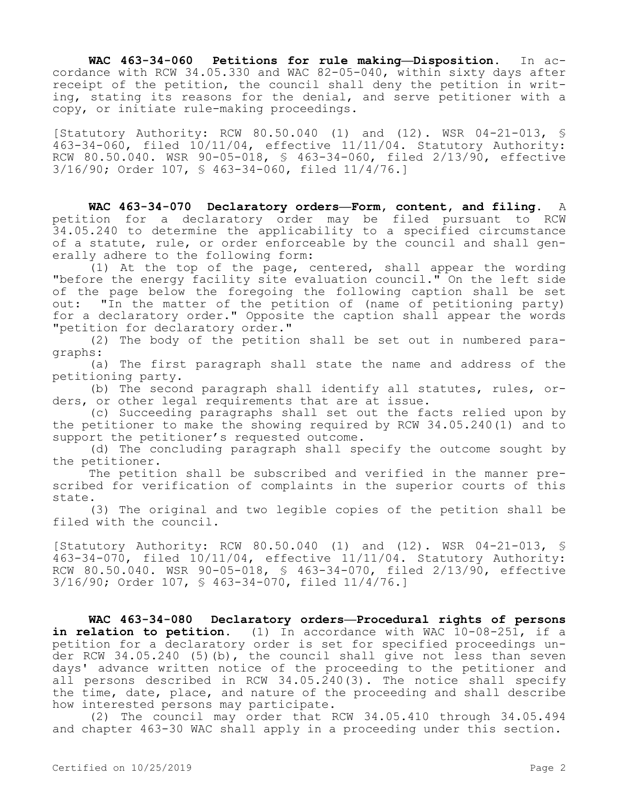**WAC 463-34-060 Petitions for rule making—Disposition.** In accordance with RCW 34.05.330 and WAC 82-05-040, within sixty days after receipt of the petition, the council shall deny the petition in writing, stating its reasons for the denial, and serve petitioner with a copy, or initiate rule-making proceedings.

[Statutory Authority: RCW 80.50.040 (1) and (12). WSR 04-21-013, § 463-34-060, filed 10/11/04, effective 11/11/04. Statutory Authority: RCW 80.50.040. WSR 90-05-018, § 463-34-060, filed 2/13/90, effective 3/16/90; Order 107, § 463-34-060, filed 11/4/76.]

**WAC 463-34-070 Declaratory orders—Form, content, and filing.** A petition for a declaratory order may be filed pursuant to RCW 34.05.240 to determine the applicability to a specified circumstance of a statute, rule, or order enforceable by the council and shall generally adhere to the following form:

(1) At the top of the page, centered, shall appear the wording "before the energy facility site evaluation council." On the left side of the page below the foregoing the following caption shall be set out: "In the matter of the petition of (name of petitioning party) for a declaratory order." Opposite the caption shall appear the words "petition for declaratory order."

(2) The body of the petition shall be set out in numbered paragraphs:

(a) The first paragraph shall state the name and address of the petitioning party.

(b) The second paragraph shall identify all statutes, rules, orders, or other legal requirements that are at issue.

(c) Succeeding paragraphs shall set out the facts relied upon by the petitioner to make the showing required by RCW 34.05.240(1) and to support the petitioner's requested outcome.

(d) The concluding paragraph shall specify the outcome sought by the petitioner.

The petition shall be subscribed and verified in the manner prescribed for verification of complaints in the superior courts of this state.

(3) The original and two legible copies of the petition shall be filed with the council.

[Statutory Authority: RCW 80.50.040 (1) and (12). WSR 04-21-013, § 463-34-070, filed 10/11/04, effective 11/11/04. Statutory Authority: RCW 80.50.040. WSR 90-05-018, § 463-34-070, filed 2/13/90, effective 3/16/90; Order 107, § 463-34-070, filed 11/4/76.]

**WAC 463-34-080 Declaratory orders—Procedural rights of persons in relation to petition.** (1) In accordance with WAC 10-08-251, if a petition for a declaratory order is set for specified proceedings under RCW 34.05.240 (5)(b), the council shall give not less than seven days' advance written notice of the proceeding to the petitioner and all persons described in RCW 34.05.240(3). The notice shall specify the time, date, place, and nature of the proceeding and shall describe how interested persons may participate.

(2) The council may order that RCW 34.05.410 through 34.05.494 and chapter 463-30 WAC shall apply in a proceeding under this section.